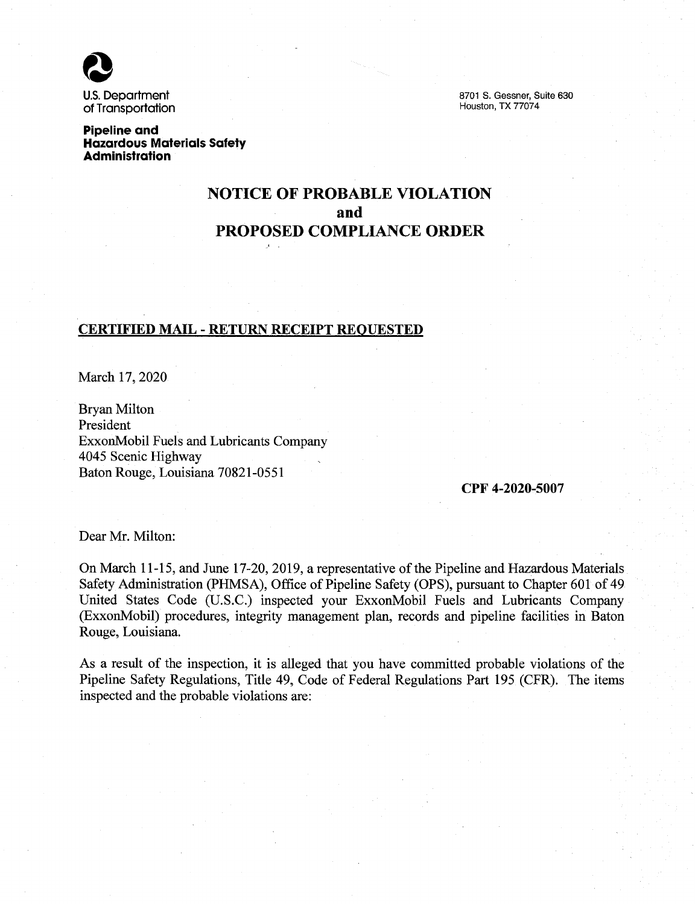U.S. Department of Transportation

8701 S. Gessner, Suite 630 Houston, TX 77074

**Pipeline and Hazardous Materials Safety Administration** 

# **NOTICE OF PROBABLE VIOLATION and PROPOSED COMPLIANCE ORDER**

### **CERTIFIED MAIL** - **RETURN RECEIPT REQUESTED**

March 17, 2020

Bryan Milton President ExxonMobil Fuels and Lubricants Company 4045 Scenic Highway Baton Rouge, Louisiana 70821-0551

#### **CPF 4-2020-5007**

Dear Mr. Milton:

On March 11-15, and June 17-20, 2019, a representative of the Pipeline and Hazardous Materials Safety Administration (PHMSA), Office of Pipeline Safety (OPS), pursuant to Chapter 601 of 49 United States Code (U.S.C.) inspected your ExxonMobil Fuels and Lubricants Company (ExxonMobil) procedures, integrity management plan, records and pipeline facilities in Baton Rouge, Louisiana.

As a result of the inspection, it is alleged that you have committed probable violations of the Pipeline Safety Regulations, Title 49, Code of Federal Regulations Part 195 (CFR). The items inspected and the probable violations are: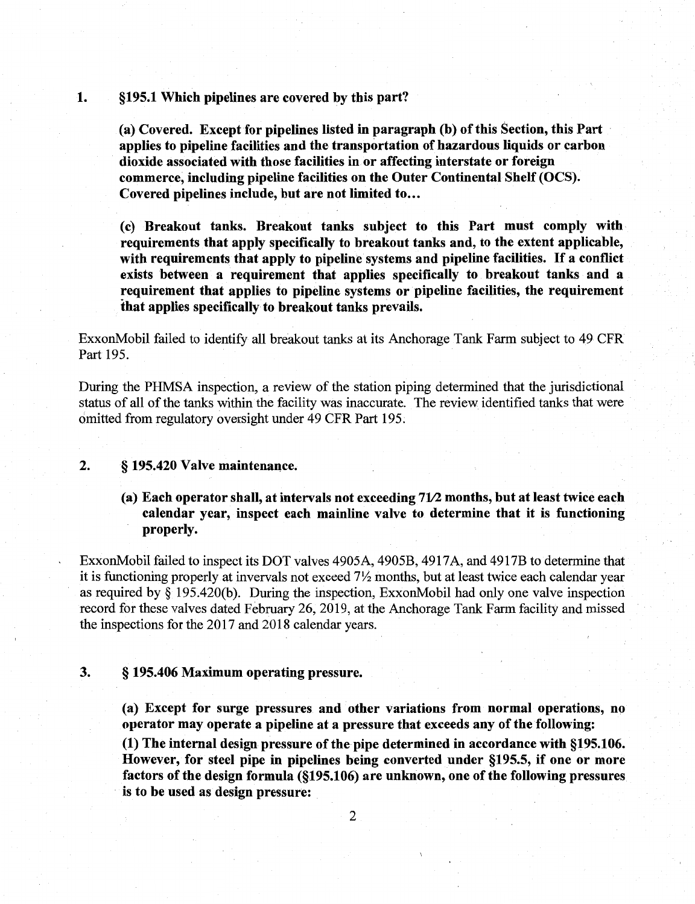#### **1. §195.1 Which pipelines are covered by this part?**

**(a) Covered. Except for pipelines listed in paragraph (b) of this Section, this Part applies to pipeline facilities and the transportation of hazardous liquids or carbon dioxide associated with those facilities in or affecting interstate or foreign commerce, including pipeline facilities on the Outer Continental Shelf (OCS).**  Covered pipelines include, but are not limited to...

**(c) Breakout tanks. Breakout tanks subject to this Part must comply with requirements that apply specifically to breakout tanks and, to the extent applicable, with requirements that apply to pipeline systems and pipeline facilities.** If **a conflict exists between a requirement that applies specifically to breakout tanks and a requirement that applies to pipeline systems or pipeline facilities, the requirement that applies specifically to breakout tanks prevails.** 

ExxonMobil failed to identify all breakout tanks at its Anchorage Tank Farm subject to 49 CFR Part 195.

During the PHMSA inspection, a review of the station piping determined that the jurisdictional status of all of the tanks within the facility was inaccurate. The review identified tanks that were omitted from regulatory oversight under 49 CFR Part 195.

#### **2.** § **195.420 Valve maintenance.**

## (a) Each operator shall, at intervals not exceeding 71/2 months, but at least twice each **calendar year, inspect each mainline valve to determine that it is functioning properly.**

ExxonMobil failed to inspect its DOT valves 4905A, 4905B, 4917A, and 4917B to determine that it is functioning properly at invervals not exceed 7½ months, but at least twice each calendar year as required by § 195.420(b). During the inspection, ExxonMobil had only one valve inspection record for these valves dated February 26, 2019, at the Anchorage Tank Farm facility and missed the inspections for the 2017 and 2018 calendar years.

#### **3.** § **195.406 Maximum operating pressure.**

**(a) Except for surge pressures and other variations from normal operations, no operator may operate a pipeline at a pressure that exceeds any of the following:** 

**(1) The internal design pressure of the pipe determined in accordance with §195.106. However, for steel pipe in pipelines being converted under §195.5, if one or more factors of the design formula (§195.106) are unknown, one of the following pressures is to be used as design pressure:**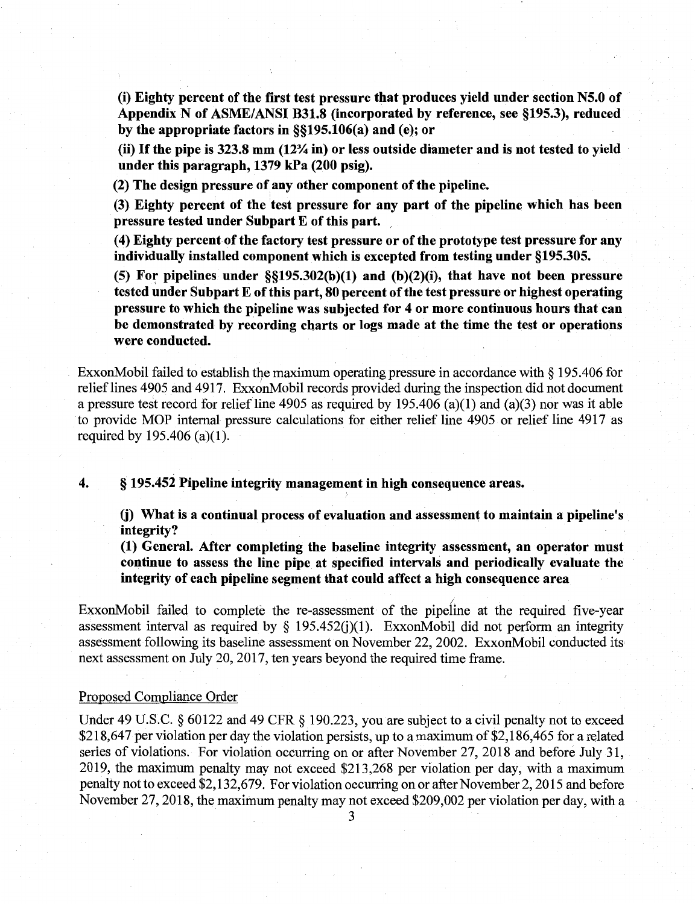(i) **Eighty percent of the first test pressure that produces yield under section N5.0 of Appendix N of ASME/ANSI B31.8 (incorporated by reference, see §195.3), reduced by the appropriate factors in §§195.106(a) and (e); or** 

(ii) If **the pipe is 323.8 mm (12¾ in) or less outside diameter and is not tested to yield under this paragraph, 1379 kPa (200 psig).** 

**(2) The design pressure of any other component of the pipeline.** 

**(3) Eighty percent of the test pressure for any part of the pipeline which has been pressure tested under Subpart E of this part.** ,

( **4) Eighty percent of the factory test pressure or of the prototype test pressure for any individually installed component which is excepted from testing under §195.305.** 

 $(5)$  For pipelines under  $\S(195.302(b)(1)$  and  $(b)(2)(i)$ , that have not been pressure **tested under Subpart E of this part, 80 percent of the test pressure or highest operating**  pressure to which the pipeline was subjected for 4 or more continuous hours that can **be demonstrated by recording charts or logs made at the time the test or operations were conducted.** 

ExxonMobil failed to establish the maximum operating pressure in accordance with  $\S 195.406$  for relief lines 4905 and 4917. ExxonMobil records provided during the inspection did not document a pressure test record for relief line 4905 as required by 195.406 (a)(l) and (a)(3) nor was it able to provide MOP internal pressure calculations for either relief line 4905 or relief line 4917 as required by  $195.406$  (a)(1).

#### **4.** § **195.452 Pipeline integrity managem~nt in high consequence areas.**

**(j) What is a continual process of evaluation and assessment to maintain a pipeline's integrity?** 

**(1) General. After completing the baseline integrity assessment, an operator must continue to assess the line pipe at specified intervals and periodically evaluate the integrity of each pipeline segment that could affect a high consequence area** 

ExxonMobil failed to complete the re-assessment of the pipeline at the required five-year assessment interval as required by  $\S$  195.452(i)(1). ExxonMobil did not perform an integrity assessment following its baseline assessment on November 22, 2002. ExxonMobil conducted its next assessment on July 20, 2017, ten years beyond the required time frame.

#### Proposed Compliance Order

Under 49 U.S.C. § 60122 and 49 CFR § 190.223, you are subject to a civil penalty not to exceed \$218,647 per violation per day the violation persists, up to a maximum of \$2,186,465 for a related series of violations. For violation occurring on or after November 27, 2018 and before July 31, 2019, the maximum penalty may not exceed \$213,268 per violation per day, with a maximum penalty not to exceed \$2,132,679. For violation occurring on or after November 2, 2015 and before November 27, 2018, the maximum penalty may not exceed \$209,002 per violation per day, with a

3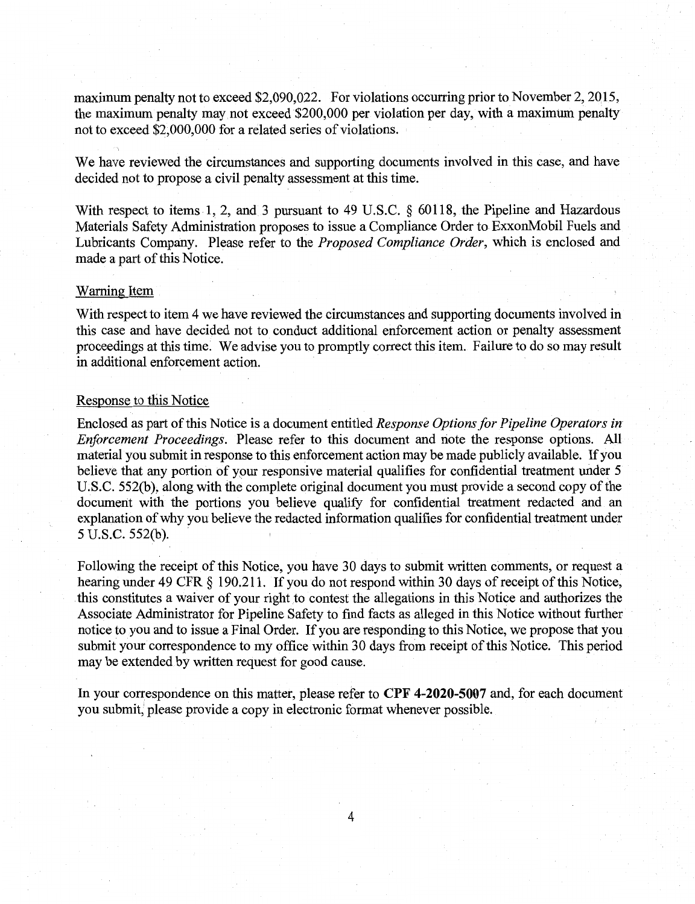maximum penalty not to exceed \$2,090,022. For violations occurring prior to November 2, 2015, the maximum penalty may not exceed \$200,000 per violation per day, with a maximum penalty not to exceed \$2,000,000 for a related series of violations.

We have reviewed the circumstances and supporting documents involved in this case, and have decided not to propose a civil penalty assessment at this time.

With respect to items 1, 2, and 3 pursuant to 49 U.S.C. § 60118, the Pipeline and Hazardous Materials Safety Administration proposes to issue a Compliance Order to ExxonMobil Fuels and Lubricants Company. Please refer to the *Proposed Compliance Order,* which is enclosed and made a part of this Notice.

#### Warning Item

With respect to item 4 we have reviewed the circumstances and supporting documents involved in this case and have decided not to conduct additional enforcement action or penalty assessment proceedings at this time: We advise you to promptly correct this item. Failure to do so may result in additional enforcement action.

#### Response to this Notice

Enclosed as part of this Notice is a document entitled *Response Options for Pipeline Operators in Enforcement Proceedings.* Please refer to this document and note the response options. All material you submit in response to this enforcement action may be made publicly available. If you believe that any portion of your responsive material qualifies for confidential treatment under 5 U.S.C. 552(b), along with the complete original document you must provide a second copy of the document with the portions you believe qualify for confidential treatment redacted and an explanation of why you believe the redacted information qualifies for confidential treatment under 5 U.S.C. 552(b).

Following the receipt of this Notice, you have 30 days to submit written comments, or request a hearing under 49 CFR § 190.211. If you do not respond within 30 days of receipt of this Notice, this constitutes a waiver of your right to contest the allegations in this Notice and authorizes the Associate Administrator for Pipeline Safety to find facts as alleged in this Notice without further notice to you and to issue a Final Order. If you are responding to this Notice, we propose that you submit your correspondence to my office within 30 days from receipt of this Notice. This period may be extended by written request for good cause.

In your correspondence on this matter, please refer to **CPF 4-2020-5007** and, for each document you submit, please provide a copy in electronic format whenever possible.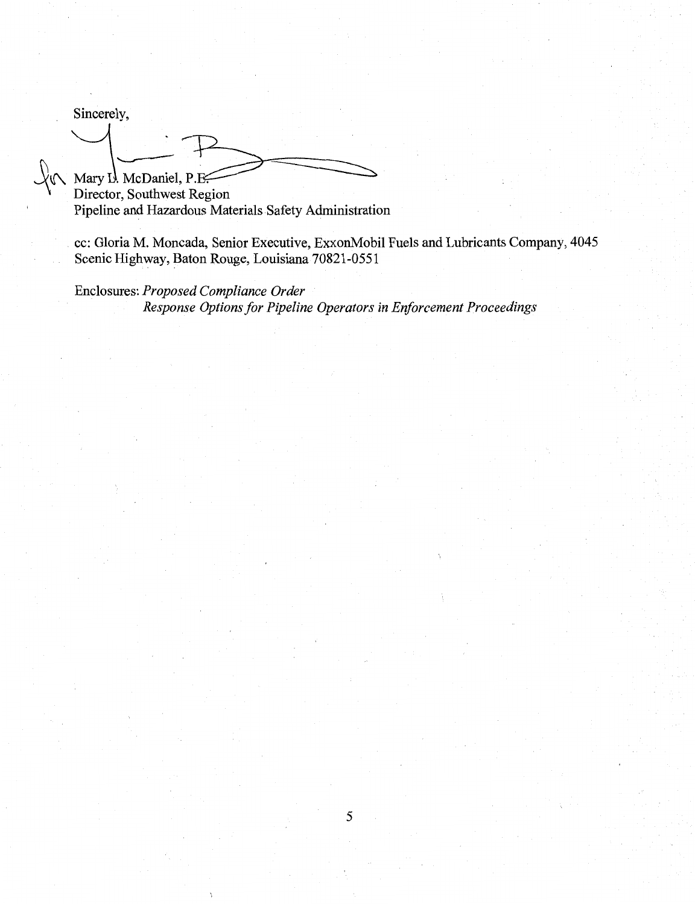Sincerely,

**A** Mary I. McDaniel, P. **Election**<br>Director, Southwest Region Pipeline and Hazardous Materials.Safety Administration

cc: Gloria M. Moncada, Senior Executive, ExxonMobil Fuels and Lubricants Company, 4045 Scenic Highway, Baton Rouge, Louisiana 70821-0551

Enclosures: *Proposed Compliance Order Response Options for Pipeline Operators in Enforcement Proceedings*